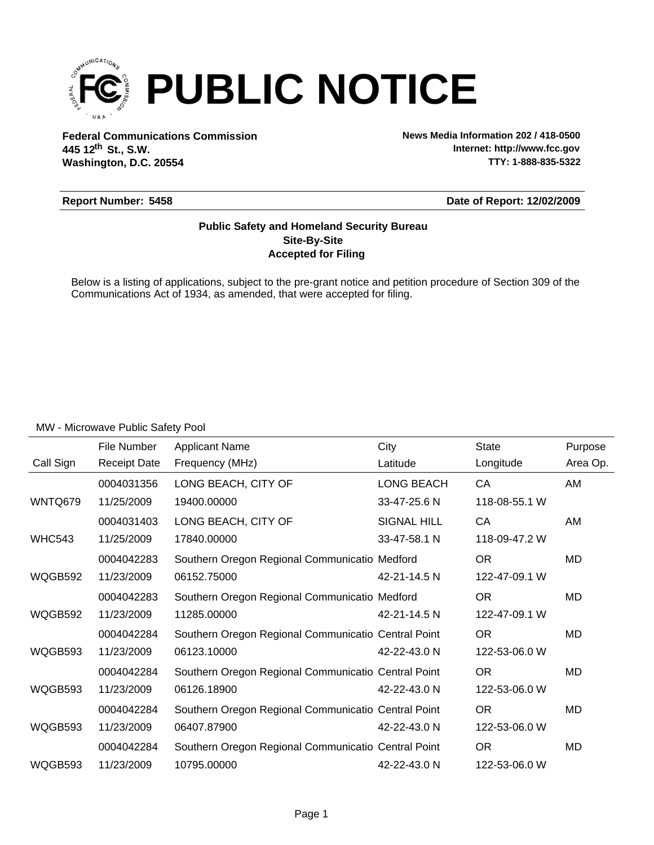

**Federal Communications Commission News Media Information 202 / 418-0500 Washington, D.C. 20554 th 445 12 St., S.W.**

**Internet: http://www.fcc.gov TTY: 1-888-835-5322**

#### **Report Number: 5458**

**Date of Report: 12/02/2009**

### **Accepted for Filing Site-By-Site Public Safety and Homeland Security Bureau**

Below is a listing of applications, subject to the pre-grant notice and petition procedure of Section 309 of the Communications Act of 1934, as amended, that were accepted for filing.

|               | File Number         | <b>Applicant Name</b>                               | City               | <b>State</b>  | Purpose  |
|---------------|---------------------|-----------------------------------------------------|--------------------|---------------|----------|
| Call Sign     | <b>Receipt Date</b> | Frequency (MHz)                                     | Latitude           | Longitude     | Area Op. |
|               | 0004031356          | LONG BEACH, CITY OF                                 | <b>LONG BEACH</b>  | CA            | AM       |
| WNTQ679       | 11/25/2009          | 19400.00000                                         | 33-47-25.6 N       | 118-08-55.1 W |          |
|               | 0004031403          | LONG BEACH, CITY OF                                 | <b>SIGNAL HILL</b> | CA            | AM       |
| <b>WHC543</b> | 11/25/2009          | 17840.00000                                         | 33-47-58.1 N       | 118-09-47.2 W |          |
|               | 0004042283          | Southern Oregon Regional Communicatio Medford       |                    | <b>OR</b>     | MD       |
| WQGB592       | 11/23/2009          | 06152.75000                                         | 42-21-14.5 N       | 122-47-09.1 W |          |
|               | 0004042283          | Southern Oregon Regional Communicatio Medford       |                    | <b>OR</b>     | MD       |
| WQGB592       | 11/23/2009          | 11285.00000                                         | 42-21-14.5 N       | 122-47-09.1 W |          |
|               | 0004042284          | Southern Oregon Regional Communicatio Central Point |                    | <b>OR</b>     | MD       |
| WQGB593       | 11/23/2009          | 06123.10000                                         | 42-22-43.0 N       | 122-53-06.0 W |          |
|               | 0004042284          | Southern Oregon Regional Communicatio Central Point |                    | OR.           | MD       |
| WQGB593       | 11/23/2009          | 06126.18900                                         | 42-22-43.0 N       | 122-53-06.0 W |          |
|               | 0004042284          | Southern Oregon Regional Communicatio Central Point |                    | <b>OR</b>     | MD       |
| WQGB593       | 11/23/2009          | 06407.87900                                         | 42-22-43.0 N       | 122-53-06.0 W |          |
|               | 0004042284          | Southern Oregon Regional Communicatio Central Point |                    | <b>OR</b>     | MD       |
| WQGB593       | 11/23/2009          | 10795.00000                                         | 42-22-43.0 N       | 122-53-06.0 W |          |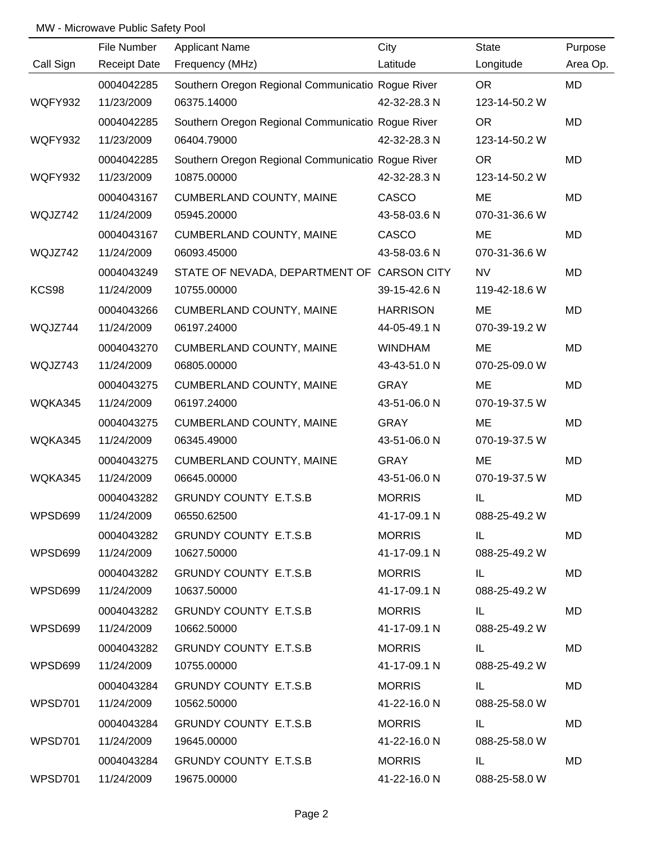|                | File Number         | <b>Applicant Name</b>                             | City            | State         | Purpose  |
|----------------|---------------------|---------------------------------------------------|-----------------|---------------|----------|
| Call Sign      | <b>Receipt Date</b> | Frequency (MHz)                                   | Latitude        | Longitude     | Area Op. |
|                | 0004042285          | Southern Oregon Regional Communicatio Rogue River |                 | <b>OR</b>     | MD       |
| WQFY932        | 11/23/2009          | 06375.14000                                       | 42-32-28.3 N    | 123-14-50.2 W |          |
|                | 0004042285          | Southern Oregon Regional Communicatio Rogue River |                 | <b>OR</b>     | MD       |
| <b>WQFY932</b> | 11/23/2009          | 06404.79000                                       | 42-32-28.3 N    | 123-14-50.2 W |          |
|                | 0004042285          | Southern Oregon Regional Communicatio Rogue River |                 | <b>OR</b>     | MD       |
| <b>WQFY932</b> | 11/23/2009          | 10875.00000                                       | 42-32-28.3 N    | 123-14-50.2 W |          |
|                | 0004043167          | <b>CUMBERLAND COUNTY, MAINE</b>                   | CASCO           | ME            | MD       |
| WQJZ742        | 11/24/2009          | 05945.20000                                       | 43-58-03.6 N    | 070-31-36.6 W |          |
|                | 0004043167          | <b>CUMBERLAND COUNTY, MAINE</b>                   | CASCO           | ME            | MD       |
| WQJZ742        | 11/24/2009          | 06093.45000                                       | 43-58-03.6 N    | 070-31-36.6 W |          |
|                | 0004043249          | STATE OF NEVADA, DEPARTMENT OF CARSON CITY        |                 | <b>NV</b>     | MD       |
| KCS98          | 11/24/2009          | 10755.00000                                       | 39-15-42.6 N    | 119-42-18.6 W |          |
|                | 0004043266          | <b>CUMBERLAND COUNTY, MAINE</b>                   | <b>HARRISON</b> | ME            | MD       |
| WQJZ744        | 11/24/2009          | 06197.24000                                       | 44-05-49.1 N    | 070-39-19.2 W |          |
|                | 0004043270          | <b>CUMBERLAND COUNTY, MAINE</b>                   | <b>WINDHAM</b>  | ME            | MD       |
| WQJZ743        | 11/24/2009          | 06805.00000                                       | 43-43-51.0 N    | 070-25-09.0 W |          |
|                | 0004043275          | <b>CUMBERLAND COUNTY, MAINE</b>                   | <b>GRAY</b>     | ME            | MD       |
| WQKA345        | 11/24/2009          | 06197.24000                                       | 43-51-06.0 N    | 070-19-37.5 W |          |
|                | 0004043275          | CUMBERLAND COUNTY, MAINE                          | <b>GRAY</b>     | ME            | MD       |
| WQKA345        | 11/24/2009          | 06345.49000                                       | 43-51-06.0 N    | 070-19-37.5 W |          |
|                | 0004043275          | <b>CUMBERLAND COUNTY, MAINE</b>                   | <b>GRAY</b>     | ME            | MD       |
| WQKA345        | 11/24/2009          | 06645.00000                                       | 43-51-06.0 N    | 070-19-37.5 W |          |
|                | 0004043282          | <b>GRUNDY COUNTY E.T.S.B</b>                      | <b>MORRIS</b>   | IL            | MD       |
| WPSD699        | 11/24/2009          | 06550.62500                                       | 41-17-09.1 N    | 088-25-49.2 W |          |
|                | 0004043282          | <b>GRUNDY COUNTY E.T.S.B</b>                      | <b>MORRIS</b>   | IL.           | MD       |
| WPSD699        | 11/24/2009          | 10627.50000                                       | 41-17-09.1 N    | 088-25-49.2 W |          |
|                | 0004043282          | <b>GRUNDY COUNTY E.T.S.B</b>                      | <b>MORRIS</b>   | IL.           | MD       |
| WPSD699        | 11/24/2009          | 10637.50000                                       | 41-17-09.1 N    | 088-25-49.2 W |          |
|                | 0004043282          | <b>GRUNDY COUNTY E.T.S.B</b>                      | <b>MORRIS</b>   | IL.           | MD       |
| WPSD699        | 11/24/2009          | 10662.50000                                       | 41-17-09.1 N    | 088-25-49.2 W |          |
|                | 0004043282          | <b>GRUNDY COUNTY E.T.S.B</b>                      | <b>MORRIS</b>   | IL.           | MD       |
| WPSD699        | 11/24/2009          | 10755.00000                                       | 41-17-09.1 N    | 088-25-49.2 W |          |
|                | 0004043284          | <b>GRUNDY COUNTY E.T.S.B</b>                      | <b>MORRIS</b>   | IL.           | MD       |
| WPSD701        | 11/24/2009          | 10562.50000                                       | 41-22-16.0 N    | 088-25-58.0 W |          |
|                | 0004043284          | <b>GRUNDY COUNTY E.T.S.B</b>                      | <b>MORRIS</b>   | IL.           | MD       |
| WPSD701        | 11/24/2009          | 19645.00000                                       | 41-22-16.0 N    | 088-25-58.0 W |          |
|                | 0004043284          | <b>GRUNDY COUNTY E.T.S.B</b>                      | <b>MORRIS</b>   | IL.           | MD       |
| WPSD701        | 11/24/2009          | 19675.00000                                       | 41-22-16.0 N    | 088-25-58.0 W |          |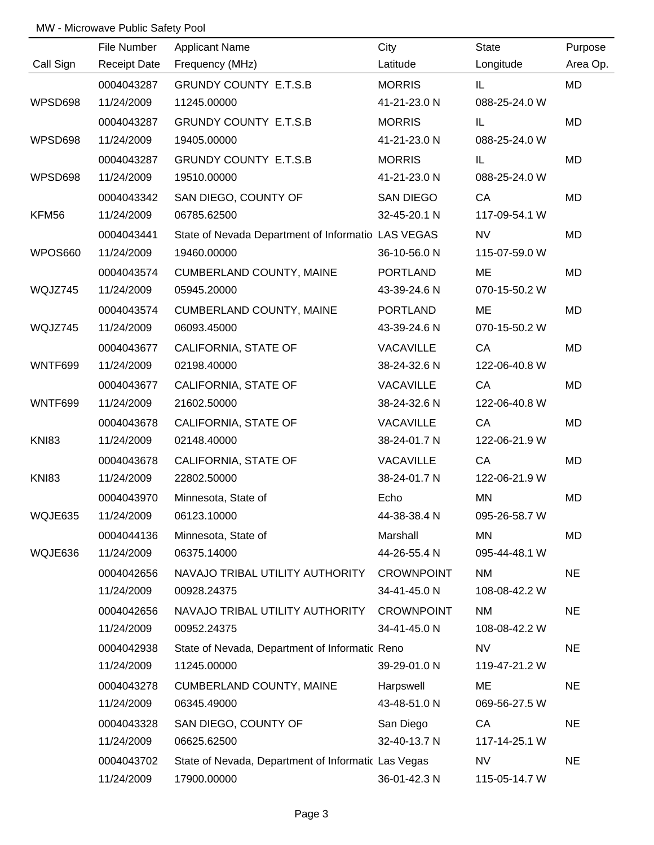|              | File Number         | <b>Applicant Name</b>                               | City              | <b>State</b>  | Purpose   |
|--------------|---------------------|-----------------------------------------------------|-------------------|---------------|-----------|
| Call Sign    | <b>Receipt Date</b> | Frequency (MHz)                                     | Latitude          | Longitude     | Area Op.  |
|              | 0004043287          | <b>GRUNDY COUNTY E.T.S.B</b>                        | <b>MORRIS</b>     | IL.           | <b>MD</b> |
| WPSD698      | 11/24/2009          | 11245.00000                                         | 41-21-23.0 N      | 088-25-24.0 W |           |
|              | 0004043287          | <b>GRUNDY COUNTY E.T.S.B</b>                        | <b>MORRIS</b>     | IL            | MD        |
| WPSD698      | 11/24/2009          | 19405.00000                                         | 41-21-23.0 N      | 088-25-24.0 W |           |
|              | 0004043287          | <b>GRUNDY COUNTY E.T.S.B</b>                        | <b>MORRIS</b>     | IL.           | MD        |
| WPSD698      | 11/24/2009          | 19510.00000                                         | 41-21-23.0 N      | 088-25-24.0 W |           |
|              | 0004043342          | SAN DIEGO, COUNTY OF                                | SAN DIEGO         | CA            | MD        |
| KFM56        | 11/24/2009          | 06785.62500                                         | 32-45-20.1 N      | 117-09-54.1 W |           |
|              | 0004043441          | State of Nevada Department of Informatio LAS VEGAS  |                   | <b>NV</b>     | <b>MD</b> |
| WPOS660      | 11/24/2009          | 19460.00000                                         | 36-10-56.0 N      | 115-07-59.0 W |           |
|              | 0004043574          | CUMBERLAND COUNTY, MAINE                            | PORTLAND          | ME            | MD        |
| WQJZ745      | 11/24/2009          | 05945.20000                                         | 43-39-24.6 N      | 070-15-50.2 W |           |
|              | 0004043574          | <b>CUMBERLAND COUNTY, MAINE</b>                     | PORTLAND          | ME            | <b>MD</b> |
| WQJZ745      | 11/24/2009          | 06093.45000                                         | 43-39-24.6 N      | 070-15-50.2 W |           |
|              | 0004043677          | CALIFORNIA, STATE OF                                | VACAVILLE         | CA            | <b>MD</b> |
| WNTF699      | 11/24/2009          | 02198.40000                                         | 38-24-32.6 N      | 122-06-40.8 W |           |
|              | 0004043677          | CALIFORNIA, STATE OF                                | VACAVILLE         | CA            | <b>MD</b> |
| WNTF699      | 11/24/2009          | 21602.50000                                         | 38-24-32.6 N      | 122-06-40.8 W |           |
|              | 0004043678          | CALIFORNIA, STATE OF                                | VACAVILLE         | CA            | MD        |
| <b>KNI83</b> | 11/24/2009          | 02148.40000                                         | 38-24-01.7 N      | 122-06-21.9 W |           |
|              | 0004043678          | CALIFORNIA, STATE OF                                | VACAVILLE         | CA            | <b>MD</b> |
| <b>KNI83</b> | 11/24/2009          | 22802.50000                                         | 38-24-01.7 N      | 122-06-21.9 W |           |
|              | 0004043970          | Minnesota, State of                                 | Echo              | MN            | <b>MD</b> |
| WQJE635      | 11/24/2009          | 06123.10000                                         | 44-38-38.4 N      | 095-26-58.7 W |           |
|              | 0004044136          | Minnesota, State of                                 | Marshall          | <b>MN</b>     | MD        |
| WQJE636      | 11/24/2009          | 06375.14000                                         | 44-26-55.4 N      | 095-44-48.1 W |           |
|              | 0004042656          | NAVAJO TRIBAL UTILITY AUTHORITY                     | <b>CROWNPOINT</b> | NM            | <b>NE</b> |
|              | 11/24/2009          | 00928.24375                                         | 34-41-45.0 N      | 108-08-42.2 W |           |
|              | 0004042656          | NAVAJO TRIBAL UTILITY AUTHORITY CROWNPOINT          |                   | <b>NM</b>     | <b>NE</b> |
|              | 11/24/2009          | 00952.24375                                         | 34-41-45.0 N      | 108-08-42.2 W |           |
|              | 0004042938          | State of Nevada, Department of Informatic Reno      |                   | NV            | <b>NE</b> |
|              | 11/24/2009          | 11245.00000                                         | 39-29-01.0 N      | 119-47-21.2 W |           |
|              | 0004043278          | <b>CUMBERLAND COUNTY, MAINE</b>                     | Harpswell         | ME            | <b>NE</b> |
|              | 11/24/2009          | 06345.49000                                         | 43-48-51.0 N      | 069-56-27.5 W |           |
|              | 0004043328          | SAN DIEGO, COUNTY OF                                | San Diego         | CA            | <b>NE</b> |
|              | 11/24/2009          | 06625.62500                                         | 32-40-13.7 N      | 117-14-25.1 W |           |
|              | 0004043702          | State of Nevada, Department of Informatic Las Vegas |                   | <b>NV</b>     | <b>NE</b> |
|              | 11/24/2009          | 17900.00000                                         | 36-01-42.3 N      | 115-05-14.7 W |           |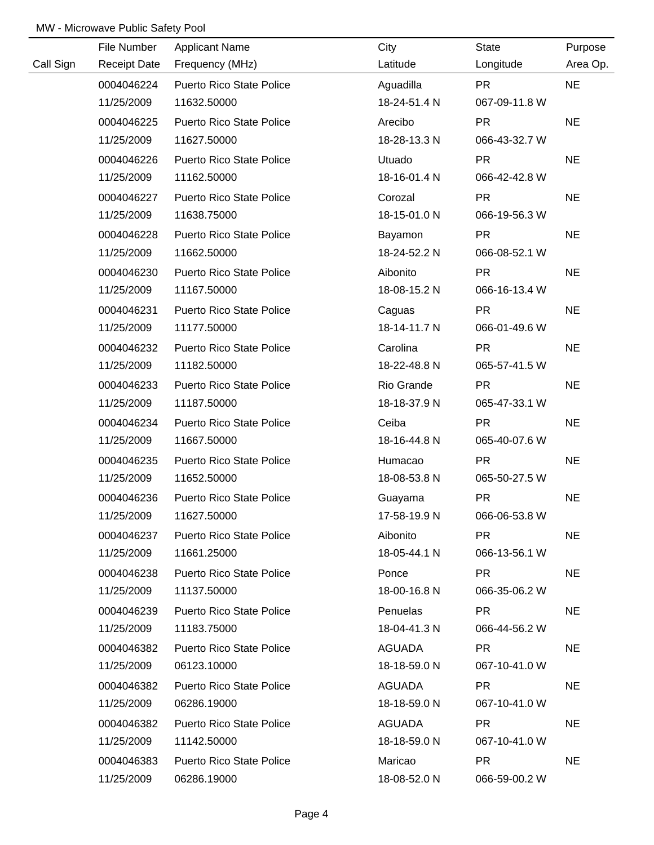|           | File Number         | <b>Applicant Name</b>           | City         | <b>State</b>  | Purpose   |
|-----------|---------------------|---------------------------------|--------------|---------------|-----------|
| Call Sign | <b>Receipt Date</b> | Frequency (MHz)                 | Latitude     | Longitude     | Area Op.  |
|           | 0004046224          | Puerto Rico State Police        | Aguadilla    | <b>PR</b>     | <b>NE</b> |
|           | 11/25/2009          | 11632.50000                     | 18-24-51.4 N | 067-09-11.8 W |           |
|           | 0004046225          | <b>Puerto Rico State Police</b> | Arecibo      | <b>PR</b>     | <b>NE</b> |
|           | 11/25/2009          | 11627.50000                     | 18-28-13.3 N | 066-43-32.7 W |           |
|           | 0004046226          | <b>Puerto Rico State Police</b> | Utuado       | <b>PR</b>     | <b>NE</b> |
|           | 11/25/2009          | 11162.50000                     | 18-16-01.4 N | 066-42-42.8 W |           |
|           | 0004046227          | <b>Puerto Rico State Police</b> | Corozal      | <b>PR</b>     | <b>NE</b> |
|           | 11/25/2009          | 11638.75000                     | 18-15-01.0 N | 066-19-56.3 W |           |
|           | 0004046228          | <b>Puerto Rico State Police</b> | Bayamon      | <b>PR</b>     | <b>NE</b> |
|           | 11/25/2009          | 11662.50000                     | 18-24-52.2 N | 066-08-52.1 W |           |
|           | 0004046230          | Puerto Rico State Police        | Aibonito     | <b>PR</b>     | <b>NE</b> |
|           | 11/25/2009          | 11167.50000                     | 18-08-15.2 N | 066-16-13.4 W |           |
|           | 0004046231          | Puerto Rico State Police        | Caguas       | <b>PR</b>     | <b>NE</b> |
|           | 11/25/2009          | 11177.50000                     | 18-14-11.7 N | 066-01-49.6 W |           |
|           | 0004046232          | Puerto Rico State Police        | Carolina     | <b>PR</b>     | <b>NE</b> |
|           | 11/25/2009          | 11182.50000                     | 18-22-48.8 N | 065-57-41.5 W |           |
|           | 0004046233          | Puerto Rico State Police        | Rio Grande   | <b>PR</b>     | <b>NE</b> |
|           | 11/25/2009          | 11187.50000                     | 18-18-37.9 N | 065-47-33.1 W |           |
|           | 0004046234          | Puerto Rico State Police        | Ceiba        | <b>PR</b>     | <b>NE</b> |
|           | 11/25/2009          | 11667.50000                     | 18-16-44.8 N | 065-40-07.6 W |           |
|           | 0004046235          | <b>Puerto Rico State Police</b> | Humacao      | <b>PR</b>     | <b>NE</b> |
|           | 11/25/2009          | 11652.50000                     | 18-08-53.8 N | 065-50-27.5 W |           |
|           | 0004046236          | <b>Puerto Rico State Police</b> | Guayama      | <b>PR</b>     | <b>NE</b> |
|           | 11/25/2009          | 11627.50000                     | 17-58-19.9 N | 066-06-53.8 W |           |
|           | 0004046237          | <b>Puerto Rico State Police</b> | Aibonito     | PR.           | <b>NE</b> |
|           | 11/25/2009          | 11661.25000                     | 18-05-44.1 N | 066-13-56.1 W |           |
|           | 0004046238          | <b>Puerto Rico State Police</b> | Ponce        | PR.           | <b>NE</b> |
|           | 11/25/2009          | 11137.50000                     | 18-00-16.8 N | 066-35-06.2 W |           |
|           | 0004046239          | <b>Puerto Rico State Police</b> | Penuelas     | PR.           | <b>NE</b> |
|           | 11/25/2009          | 11183.75000                     | 18-04-41.3 N | 066-44-56.2 W |           |
|           | 0004046382          | <b>Puerto Rico State Police</b> | AGUADA       | PR.           | <b>NE</b> |
|           | 11/25/2009          | 06123.10000                     | 18-18-59.0 N | 067-10-41.0 W |           |
|           | 0004046382          | <b>Puerto Rico State Police</b> | AGUADA       | <b>PR</b>     | <b>NE</b> |
|           | 11/25/2009          | 06286.19000                     | 18-18-59.0 N | 067-10-41.0 W |           |
|           | 0004046382          | <b>Puerto Rico State Police</b> | AGUADA       | PR.           | <b>NE</b> |
|           | 11/25/2009          | 11142.50000                     | 18-18-59.0 N | 067-10-41.0 W |           |
|           | 0004046383          | <b>Puerto Rico State Police</b> | Maricao      | <b>PR</b>     | <b>NE</b> |
|           | 11/25/2009          | 06286.19000                     | 18-08-52.0 N | 066-59-00.2 W |           |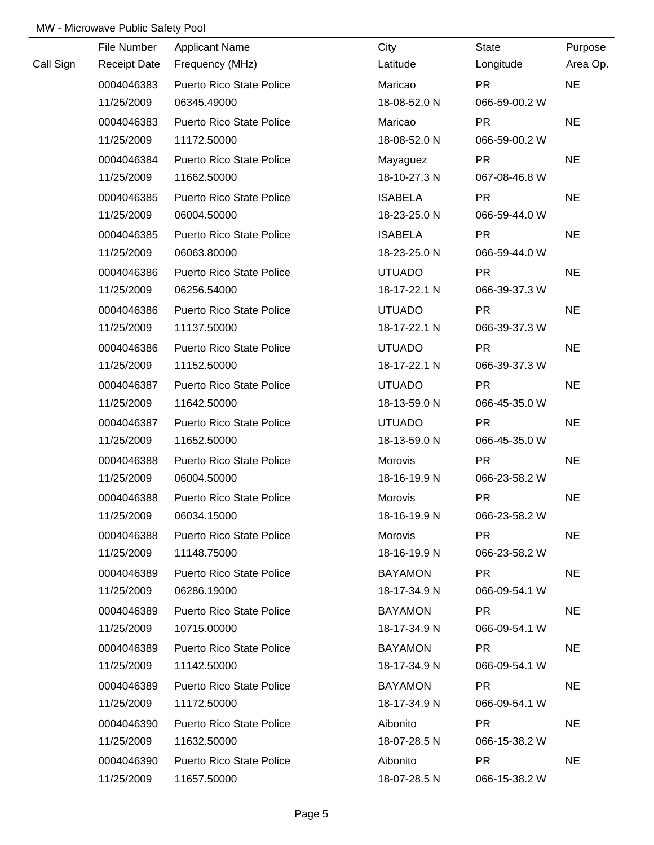|           | File Number         | <b>Applicant Name</b>           | City           | <b>State</b>  | Purpose   |
|-----------|---------------------|---------------------------------|----------------|---------------|-----------|
| Call Sign | <b>Receipt Date</b> | Frequency (MHz)                 | Latitude       | Longitude     | Area Op.  |
|           | 0004046383          | Puerto Rico State Police        | Maricao        | <b>PR</b>     | <b>NE</b> |
|           | 11/25/2009          | 06345.49000                     | 18-08-52.0 N   | 066-59-00.2 W |           |
|           | 0004046383          | <b>Puerto Rico State Police</b> | Maricao        | <b>PR</b>     | <b>NE</b> |
|           | 11/25/2009          | 11172.50000                     | 18-08-52.0 N   | 066-59-00.2 W |           |
|           | 0004046384          | <b>Puerto Rico State Police</b> | Mayaguez       | <b>PR</b>     | <b>NE</b> |
|           | 11/25/2009          | 11662.50000                     | 18-10-27.3 N   | 067-08-46.8 W |           |
|           | 0004046385          | <b>Puerto Rico State Police</b> | <b>ISABELA</b> | <b>PR</b>     | <b>NE</b> |
|           | 11/25/2009          | 06004.50000                     | 18-23-25.0 N   | 066-59-44.0 W |           |
|           | 0004046385          | Puerto Rico State Police        | <b>ISABELA</b> | <b>PR</b>     | <b>NE</b> |
|           | 11/25/2009          | 06063.80000                     | 18-23-25.0 N   | 066-59-44.0 W |           |
|           | 0004046386          | Puerto Rico State Police        | <b>UTUADO</b>  | <b>PR</b>     | <b>NE</b> |
|           | 11/25/2009          | 06256.54000                     | 18-17-22.1 N   | 066-39-37.3 W |           |
|           | 0004046386          | Puerto Rico State Police        | <b>UTUADO</b>  | <b>PR</b>     | <b>NE</b> |
|           | 11/25/2009          | 11137.50000                     | 18-17-22.1 N   | 066-39-37.3 W |           |
|           | 0004046386          | Puerto Rico State Police        | <b>UTUADO</b>  | <b>PR</b>     | <b>NE</b> |
|           | 11/25/2009          | 11152.50000                     | 18-17-22.1 N   | 066-39-37.3 W |           |
|           | 0004046387          | Puerto Rico State Police        | <b>UTUADO</b>  | <b>PR</b>     | <b>NE</b> |
|           | 11/25/2009          | 11642.50000                     | 18-13-59.0 N   | 066-45-35.0 W |           |
|           | 0004046387          | <b>Puerto Rico State Police</b> | <b>UTUADO</b>  | <b>PR</b>     | <b>NE</b> |
|           | 11/25/2009          | 11652.50000                     | 18-13-59.0 N   | 066-45-35.0 W |           |
|           | 0004046388          | <b>Puerto Rico State Police</b> | Morovis        | <b>PR</b>     | <b>NE</b> |
|           | 11/25/2009          | 06004.50000                     | 18-16-19.9 N   | 066-23-58.2 W |           |
|           | 0004046388          | <b>Puerto Rico State Police</b> | Morovis        | <b>PR</b>     | <b>NE</b> |
|           | 11/25/2009          | 06034.15000                     | 18-16-19.9 N   | 066-23-58.2 W |           |
|           | 0004046388          | <b>Puerto Rico State Police</b> | Morovis        | PR.           | <b>NE</b> |
|           | 11/25/2009          | 11148.75000                     | 18-16-19.9 N   | 066-23-58.2 W |           |
|           | 0004046389          | <b>Puerto Rico State Police</b> | <b>BAYAMON</b> | PR.           | <b>NE</b> |
|           | 11/25/2009          | 06286.19000                     | 18-17-34.9 N   | 066-09-54.1 W |           |
|           | 0004046389          | <b>Puerto Rico State Police</b> | <b>BAYAMON</b> | PR.           | <b>NE</b> |
|           | 11/25/2009          | 10715.00000                     | 18-17-34.9 N   | 066-09-54.1 W |           |
|           | 0004046389          | <b>Puerto Rico State Police</b> | <b>BAYAMON</b> | PR.           | <b>NE</b> |
|           | 11/25/2009          | 11142.50000                     | 18-17-34.9 N   | 066-09-54.1 W |           |
|           | 0004046389          | <b>Puerto Rico State Police</b> | <b>BAYAMON</b> | <b>PR</b>     | <b>NE</b> |
|           | 11/25/2009          | 11172.50000                     | 18-17-34.9 N   | 066-09-54.1 W |           |
|           | 0004046390          | <b>Puerto Rico State Police</b> | Aibonito       | PR.           | <b>NE</b> |
|           | 11/25/2009          | 11632.50000                     | 18-07-28.5 N   | 066-15-38.2 W |           |
|           | 0004046390          | <b>Puerto Rico State Police</b> | Aibonito       | <b>PR</b>     | <b>NE</b> |
|           | 11/25/2009          | 11657.50000                     | 18-07-28.5 N   | 066-15-38.2 W |           |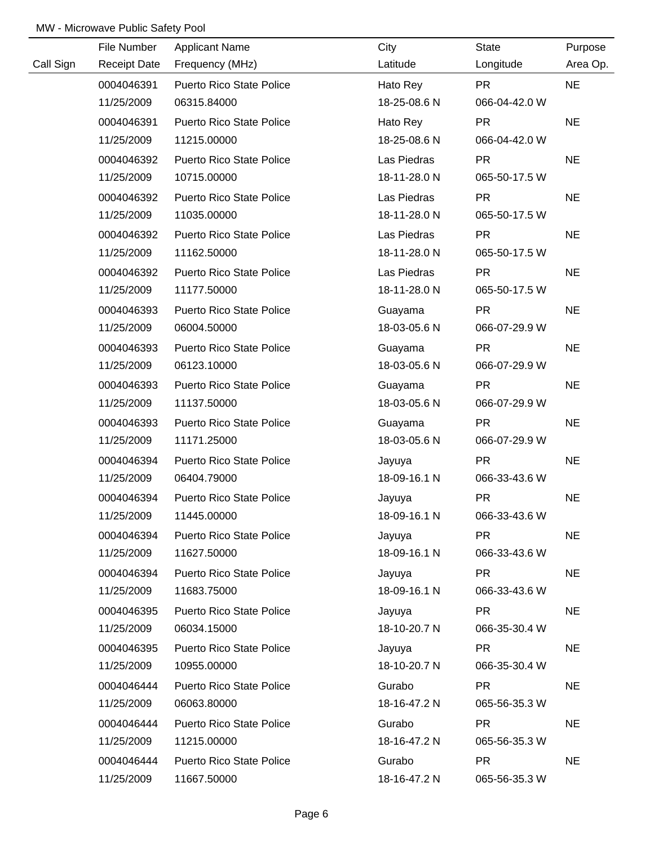|           | File Number         | <b>Applicant Name</b>           | City         | <b>State</b>  | Purpose   |
|-----------|---------------------|---------------------------------|--------------|---------------|-----------|
| Call Sign | <b>Receipt Date</b> | Frequency (MHz)                 | Latitude     | Longitude     | Area Op.  |
|           | 0004046391          | Puerto Rico State Police        | Hato Rey     | <b>PR</b>     | <b>NE</b> |
|           | 11/25/2009          | 06315.84000                     | 18-25-08.6 N | 066-04-42.0 W |           |
|           | 0004046391          | <b>Puerto Rico State Police</b> | Hato Rey     | <b>PR</b>     | <b>NE</b> |
|           | 11/25/2009          | 11215.00000                     | 18-25-08.6 N | 066-04-42.0 W |           |
|           | 0004046392          | <b>Puerto Rico State Police</b> | Las Piedras  | <b>PR</b>     | <b>NE</b> |
|           | 11/25/2009          | 10715.00000                     | 18-11-28.0 N | 065-50-17.5 W |           |
|           | 0004046392          | <b>Puerto Rico State Police</b> | Las Piedras  | <b>PR</b>     | <b>NE</b> |
|           | 11/25/2009          | 11035.00000                     | 18-11-28.0 N | 065-50-17.5 W |           |
|           | 0004046392          | Puerto Rico State Police        | Las Piedras  | <b>PR</b>     | <b>NE</b> |
|           | 11/25/2009          | 11162.50000                     | 18-11-28.0 N | 065-50-17.5 W |           |
|           | 0004046392          | Puerto Rico State Police        | Las Piedras  | <b>PR</b>     | <b>NE</b> |
|           | 11/25/2009          | 11177.50000                     | 18-11-28.0 N | 065-50-17.5 W |           |
|           | 0004046393          | <b>Puerto Rico State Police</b> | Guayama      | <b>PR</b>     | <b>NE</b> |
|           | 11/25/2009          | 06004.50000                     | 18-03-05.6 N | 066-07-29.9 W |           |
|           | 0004046393          | Puerto Rico State Police        | Guayama      | <b>PR</b>     | <b>NE</b> |
|           | 11/25/2009          | 06123.10000                     | 18-03-05.6 N | 066-07-29.9 W |           |
|           | 0004046393          | Puerto Rico State Police        | Guayama      | <b>PR</b>     | <b>NE</b> |
|           | 11/25/2009          | 11137.50000                     | 18-03-05.6 N | 066-07-29.9 W |           |
|           | 0004046393          | Puerto Rico State Police        | Guayama      | <b>PR</b>     | <b>NE</b> |
|           | 11/25/2009          | 11171.25000                     | 18-03-05.6 N | 066-07-29.9 W |           |
|           | 0004046394          | <b>Puerto Rico State Police</b> | Jayuya       | <b>PR</b>     | <b>NE</b> |
|           | 11/25/2009          | 06404.79000                     | 18-09-16.1 N | 066-33-43.6 W |           |
|           | 0004046394          | <b>Puerto Rico State Police</b> | Jayuya       | <b>PR</b>     | <b>NE</b> |
|           | 11/25/2009          | 11445.00000                     | 18-09-16.1 N | 066-33-43.6 W |           |
|           | 0004046394          | Puerto Rico State Police        | Jayuya       | <b>PR</b>     | <b>NE</b> |
|           | 11/25/2009          | 11627.50000                     | 18-09-16.1 N | 066-33-43.6 W |           |
|           | 0004046394          | <b>Puerto Rico State Police</b> | Jayuya       | <b>PR</b>     | <b>NE</b> |
|           | 11/25/2009          | 11683.75000                     | 18-09-16.1 N | 066-33-43.6 W |           |
|           | 0004046395          | <b>Puerto Rico State Police</b> | Jayuya       | PR.           | <b>NE</b> |
|           | 11/25/2009          | 06034.15000                     | 18-10-20.7 N | 066-35-30.4 W |           |
|           | 0004046395          | Puerto Rico State Police        | Jayuya       | PR.           | <b>NE</b> |
|           | 11/25/2009          | 10955.00000                     | 18-10-20.7 N | 066-35-30.4 W |           |
|           | 0004046444          | <b>Puerto Rico State Police</b> | Gurabo       | <b>PR</b>     | <b>NE</b> |
|           | 11/25/2009          | 06063.80000                     | 18-16-47.2 N | 065-56-35.3 W |           |
|           | 0004046444          | <b>Puerto Rico State Police</b> | Gurabo       | <b>PR</b>     | <b>NE</b> |
|           | 11/25/2009          | 11215.00000                     | 18-16-47.2 N | 065-56-35.3 W |           |
|           | 0004046444          | <b>Puerto Rico State Police</b> | Gurabo       | <b>PR</b>     | <b>NE</b> |
|           | 11/25/2009          | 11667.50000                     | 18-16-47.2 N | 065-56-35.3 W |           |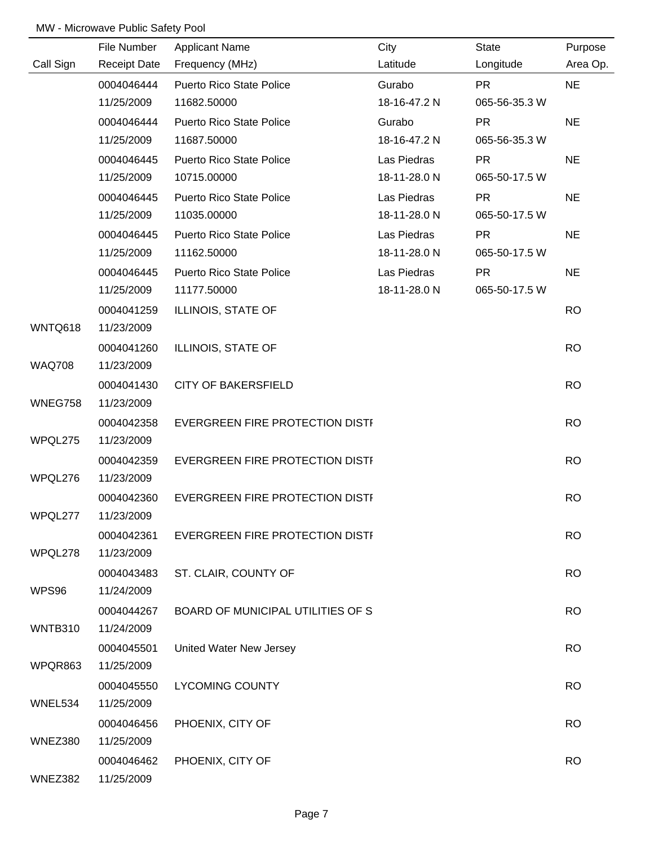|               | File Number         | <b>Applicant Name</b>             | City         | <b>State</b>  | Purpose   |
|---------------|---------------------|-----------------------------------|--------------|---------------|-----------|
| Call Sign     | <b>Receipt Date</b> | Frequency (MHz)                   | Latitude     | Longitude     | Area Op.  |
|               | 0004046444          | <b>Puerto Rico State Police</b>   | Gurabo       | <b>PR</b>     | <b>NE</b> |
|               | 11/25/2009          | 11682.50000                       | 18-16-47.2 N | 065-56-35.3 W |           |
|               | 0004046444          | <b>Puerto Rico State Police</b>   | Gurabo       | <b>PR</b>     | <b>NE</b> |
|               | 11/25/2009          | 11687.50000                       | 18-16-47.2 N | 065-56-35.3 W |           |
|               | 0004046445          | <b>Puerto Rico State Police</b>   | Las Piedras  | <b>PR</b>     | <b>NE</b> |
|               | 11/25/2009          | 10715.00000                       | 18-11-28.0 N | 065-50-17.5 W |           |
|               | 0004046445          | <b>Puerto Rico State Police</b>   | Las Piedras  | <b>PR</b>     | <b>NE</b> |
|               | 11/25/2009          | 11035.00000                       | 18-11-28.0 N | 065-50-17.5 W |           |
|               | 0004046445          | <b>Puerto Rico State Police</b>   | Las Piedras  | <b>PR</b>     | <b>NE</b> |
|               | 11/25/2009          | 11162.50000                       | 18-11-28.0 N | 065-50-17.5 W |           |
|               | 0004046445          | <b>Puerto Rico State Police</b>   | Las Piedras  | <b>PR</b>     | <b>NE</b> |
|               | 11/25/2009          | 11177.50000                       | 18-11-28.0 N | 065-50-17.5 W |           |
|               | 0004041259          | ILLINOIS, STATE OF                |              |               | <b>RO</b> |
| WNTQ618       | 11/23/2009          |                                   |              |               |           |
|               | 0004041260          | ILLINOIS, STATE OF                |              |               | <b>RO</b> |
| <b>WAQ708</b> | 11/23/2009          |                                   |              |               |           |
|               | 0004041430          | <b>CITY OF BAKERSFIELD</b>        |              |               | <b>RO</b> |
| WNEG758       | 11/23/2009          |                                   |              |               |           |
|               | 0004042358          | EVERGREEN FIRE PROTECTION DISTI   |              |               | <b>RO</b> |
| WPQL275       | 11/23/2009          |                                   |              |               |           |
|               | 0004042359          | EVERGREEN FIRE PROTECTION DISTI   |              |               | <b>RO</b> |
| WPQL276       | 11/23/2009          |                                   |              |               |           |
|               | 0004042360          | EVERGREEN FIRE PROTECTION DISTI   |              |               | <b>RO</b> |
| WPQL277       | 11/23/2009          |                                   |              |               |           |
|               | 0004042361          | EVERGREEN FIRE PROTECTION DISTI   |              |               | <b>RO</b> |
| WPQL278       | 11/23/2009          |                                   |              |               |           |
|               | 0004043483          | ST. CLAIR, COUNTY OF              |              |               | <b>RO</b> |
| WPS96         | 11/24/2009          |                                   |              |               |           |
|               | 0004044267          | BOARD OF MUNICIPAL UTILITIES OF S |              |               | <b>RO</b> |
| WNTB310       | 11/24/2009          |                                   |              |               |           |
|               | 0004045501          | United Water New Jersey           |              |               | <b>RO</b> |
| WPQR863       | 11/25/2009          |                                   |              |               |           |
|               | 0004045550          | <b>LYCOMING COUNTY</b>            |              |               | <b>RO</b> |
| WNEL534       | 11/25/2009          |                                   |              |               |           |
|               | 0004046456          | PHOENIX, CITY OF                  |              |               | <b>RO</b> |
| WNEZ380       | 11/25/2009          |                                   |              |               |           |
|               | 0004046462          | PHOENIX, CITY OF                  |              |               | <b>RO</b> |
| WNEZ382       | 11/25/2009          |                                   |              |               |           |